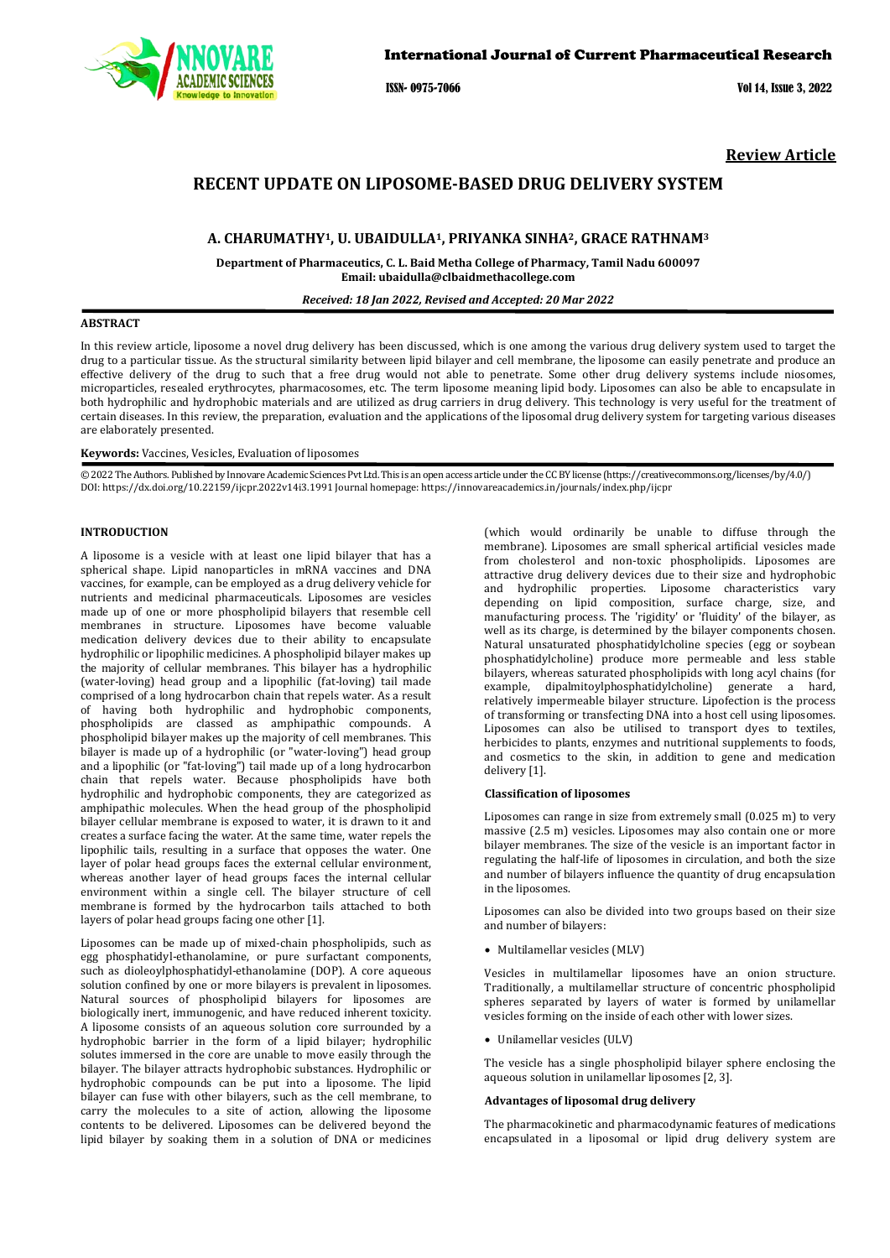

ISSN- 0975-7066 Vol 14, Issue 3, 2022

**Review Article**

# **RECENT UPDATE ON LIPOSOME-BASED DRUG DELIVERY SYSTEM**

## **A. CHARUMATHY1, U. UBAIDULLA1, PRIYANKA SINHA2, GRACE RATHNAM3**

**Department of Pharmaceutics, C. L. Baid Metha College of Pharmacy, Tamil Nadu 600097 Email: ubaidulla@clbaidmethacollege.com**

#### *Received: 18 Jan 2022, Revised and Accepted: 20 Mar 2022*

### **ABSTRACT**

In this review article, liposome a novel drug delivery has been discussed, which is one among the various drug delivery system used to target the drug to a particular tissue. As the structural similarity between lipid bilayer and cell membrane, the liposome can easily penetrate and produce an effective delivery of the drug to such that a free drug would not able to penetrate. Some other drug delivery systems include niosomes, microparticles, resealed erythrocytes, pharmacosomes, etc. The term liposome meaning lipid body. Liposomes can also be able to encapsulate in both hydrophilic and hydrophobic materials and are utilized as drug carriers in drug delivery. This technology is very useful for the treatment of certain diseases. In this review, the preparation, evaluation and the applications of the liposomal drug delivery system for targeting various diseases are elaborately presented.

### **Keywords:** Vaccines, Vesicles, Evaluation of liposomes

© 2022 The Authors. Published by Innovare Academic Sciences Pvt Ltd. This is an open access article under the CC BY license [\(https://creativecommons.org/licenses/by/4.0/\)](https://creativecommons.org/licenses/by/4.0/) DOI[: https://dx.doi.org/10.22159/ijcpr.2022v14i3.1](https://dx.doi.org/10.22159/ijcpr.2022v14i3)991 Journal homepage[: https://innovareacademics.in/journals/index.php/ijcpr](https://innovareacademics.in/journals/index.php/ijcpr)

## **INTRODUCTION**

A liposome is a vesicle with at least one lipid bilayer that has a spherical shape. Lipid nanoparticles in mRNA vaccines and DNA vaccines, for example, can be employed as a drug delivery vehicle for nutrients and medicinal pharmaceuticals. Liposomes are vesicles made up of one or more phospholipid bilayers that resemble cell membranes in structure. Liposomes have become valuable medication delivery devices due to their ability to encapsulate hydrophilic or lipophilic medicines. A phospholipid bilayer makes up the majority of cellular membranes. This bilayer has a hydrophilic (water-loving) head group and a lipophilic (fat-loving) tail made comprised of a long hydrocarbon chain that repels water. As a result of having both hydrophilic and hydrophobic components, phospholipids are classed as amphipathic compounds. A phospholipid bilayer makes up the majority of cell membranes. This bilayer is made up of a hydrophilic (or "water-loving") head group and a lipophilic (or "fat-loving") tail made up of a long hydrocarbon chain that repels water. Because phospholipids have both hydrophilic and hydrophobic components, they are categorized as amphipathic molecules. When the head group of the phospholipid bilayer cellular membrane is exposed to water, it is drawn to it and creates a surface facing the water. At the same time, water repels the lipophilic tails, resulting in a surface that opposes the water. One layer of polar head groups faces the external cellular environment, whereas another layer of head groups faces the internal cellular environment within a single cell. The bilayer structure of cell membrane is formed by the hydrocarbon tails attached to both layers of polar head groups facing one other [1].

Liposomes can be made up of mixed-chain phospholipids, such as egg phosphatidyl-ethanolamine, or pure surfactant components, such as dioleoylphosphatidyl-ethanolamine (DOP). A core aqueous solution confined by one or more bilayers is prevalent in liposomes. Natural sources of phospholipid bilayers for liposomes are biologically inert, immunogenic, and have reduced inherent toxicity. A liposome consists of an aqueous solution core surrounded by a hydrophobic barrier in the form of a lipid bilayer; hydrophilic solutes immersed in the core are unable to move easily through the bilayer. The bilayer attracts hydrophobic substances. Hydrophilic or hydrophobic compounds can be put into a liposome. The lipid bilayer can fuse with other bilayers, such as the cell membrane, to carry the molecules to a site of action, allowing the liposome contents to be delivered. Liposomes can be delivered beyond the lipid bilayer by soaking them in a solution of DNA or medicines

(which would ordinarily be unable to diffuse through the membrane). Liposomes are small spherical artificial vesicles made from cholesterol and non-toxic phospholipids. Liposomes are attractive drug delivery devices due to their size and hydrophobic and hydrophilic properties. Liposome characteristics vary depending on lipid composition, surface charge, size, and manufacturing process. The 'rigidity' or 'fluidity' of the bilayer, as well as its charge, is determined by the bilayer components chosen. Natural unsaturated phosphatidylcholine species (egg or soybean phosphatidylcholine) produce more permeable and less stable bilayers, whereas saturated phospholipids with long acyl chains (for example, dipalmitoylphosphatidylcholine) generate a hard, relatively impermeable bilayer structure. Lipofection is the process of transforming or transfecting DNA into a host cell using liposomes. Liposomes can also be utilised to transport dyes to textiles, herbicides to plants, enzymes and nutritional supplements to foods, and cosmetics to the skin, in addition to gene and medication delivery [1].

#### **Classification of liposomes**

Liposomes can range in size from extremely small (0.025 m) to very massive (2.5 m) vesicles. Liposomes may also contain one or more bilayer membranes. The size of the vesicle is an important factor in regulating the half-life of liposomes in circulation, and both the size and number of bilayers influence the quantity of drug encapsulation in the liposomes.

Liposomes can also be divided into two groups based on their size and number of bilayers:

• Multilamellar vesicles (MLV)

Vesicles in multilamellar liposomes have an onion structure. Traditionally, a multilamellar structure of concentric phospholipid spheres separated by layers of water is formed by unilamellar vesicles forming on the inside of each other with lower sizes.

• Unilamellar vesicles (ULV)

The vesicle has a single phospholipid bilayer sphere enclosing the aqueous solution in unilamellar liposomes [2, 3].

## **Advantages of liposomal drug delivery**

The pharmacokinetic and pharmacodynamic features of medications encapsulated in a liposomal or lipid drug delivery system are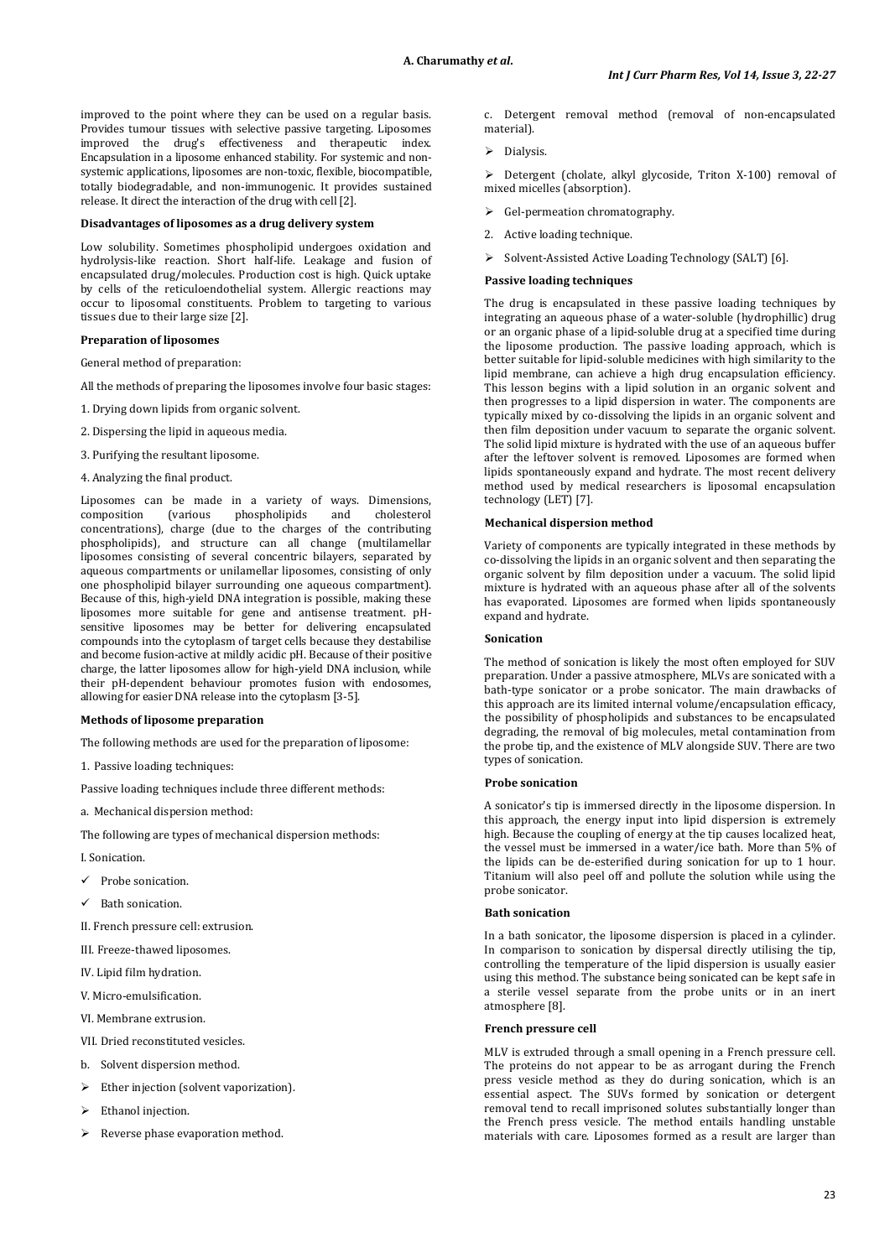improved to the point where they can be used on a regular basis. Provides tumour tissues with selective passive targeting. Liposomes improved the drug's effectiveness and therapeutic index. Encapsulation in a liposome enhanced stability. For systemic and nonsystemic applications, liposomes are non-toxic, flexible, biocompatible, totally biodegradable, and non-immunogenic. It provides sustained release. It direct the interaction of the drug with cell [2].

### **Disadvantages of liposomes as a drug delivery system**

Low solubility. Sometimes phospholipid undergoes oxidation and hydrolysis-like reaction. Short half-life. Leakage and fusion of encapsulated drug/molecules. Production cost is high. Quick uptake by cells of the reticuloendothelial system. Allergic reactions may occur to liposomal constituents. Problem to targeting to various tissues due to their large size [2].

### **Preparation of liposomes**

General method of preparation:

All the methods of preparing the liposomes involve four basic stages:

- 1. Drying down lipids from organic solvent.
- 2. Dispersing the lipid in aqueous media.
- 3. Purifying the resultant liposome.
- 4. Analyzing the final product.

Liposomes can be made in a variety of ways. Dimensions, composition (various phospholipids and cholesterol composition (various phospholipids and cholesterol concentrations), charge (due to the charges of the contributing phospholipids), and structure can all change (multilamellar liposomes consisting of several concentric bilayers, separated by aqueous compartments or unilamellar liposomes, consisting of only one phospholipid bilayer surrounding one aqueous compartment). Because of this, high-yield DNA integration is possible, making these liposomes more suitable for gene and antisense treatment. pHsensitive liposomes may be better for delivering encapsulated compounds into the cytoplasm of target cells because they destabilise and become fusion-active at mildly acidic pH. Because of their positive charge, the latter liposomes allow for high-yield DNA inclusion, while their pH-dependent behaviour promotes fusion with endosomes, allowing for easier DNA release into the cytoplasm [3-5].

#### **Methods of liposome preparation**

The following methods are used for the preparation of liposome:

1. Passive loading techniques:

Passive loading techniques include three different methods:

a. Mechanical dispersion method:

The following are types of mechanical dispersion methods:

I. Sonication.

- Probe sonication.
- Bath sonication.

II. French pressure cell: extrusion.

III. Freeze-thawed liposomes.

- IV. Lipid film hydration.
- V. Micro-emulsification.
- VI. Membrane extrusion.
- VII. Dried reconstituted vesicles.
- b. Solvent dispersion method.
- > Ether injection (solvent vaporization).
- $\triangleright$  Ethanol injection.
- > Reverse phase evaporation method.

c. Detergent removal method (removal of non-encapsulated material).

 $\triangleright$  Dialysis.

 Detergent (cholate, alkyl glycoside, Triton X-100) removal of mixed micelles (absorption).

- $\triangleright$  Gel-permeation chromatography.
- 2. Active loading technique.
- > Solvent-Assisted Active Loading Technology (SALT) [6].

## **Passive loading techniques**

The drug is encapsulated in these passive loading techniques by integrating an aqueous phase of a water-soluble (hydrophillic) drug or an organic phase of a lipid-soluble drug at a specified time during the liposome production. The passive loading approach, which is better suitable for lipid-soluble medicines with high similarity to the lipid membrane, can achieve a high drug encapsulation efficiency. This lesson begins with a lipid solution in an organic solvent and then progresses to a lipid dispersion in water. The components are typically mixed by co-dissolving the lipids in an organic solvent and then film deposition under vacuum to separate the organic solvent. The solid lipid mixture is hydrated with the use of an aqueous buffer after the leftover solvent is removed. Liposomes are formed when lipids spontaneously expand and hydrate. The most recent delivery method used by medical researchers is liposomal encapsulation technology (LET) [7].

#### **Mechanical dispersion method**

Variety of components are typically integrated in these methods by co-dissolving the lipids in an organic solvent and then separating the organic solvent by film deposition under a vacuum. The solid lipid mixture is hydrated with an aqueous phase after all of the solvents has evaporated. Liposomes are formed when lipids spontaneously expand and hydrate.

#### **Sonication**

The method of sonication is likely the most often employed for SUV preparation. Under a passive atmosphere, MLVs are sonicated with a bath-type sonicator or a probe sonicator. The main drawbacks of this approach are its limited internal volume/encapsulation efficacy, the possibility of phospholipids and substances to be encapsulated degrading, the removal of big molecules, metal contamination from the probe tip, and the existence of MLV alongside SUV. There are two types of sonication.

### **Probe sonication**

A sonicator's tip is immersed directly in the liposome dispersion. In this approach, the energy input into lipid dispersion is extremely high. Because the coupling of energy at the tip causes localized heat, the vessel must be immersed in a water/ice bath. More than 5% of the lipids can be de-esterified during sonication for up to 1 hour. Titanium will also peel off and pollute the solution while using the probe sonicator.

#### **Bath sonication**

In a bath sonicator, the liposome dispersion is placed in a cylinder. In comparison to sonication by dispersal directly utilising the tip, controlling the temperature of the lipid dispersion is usually easier using this method. The substance being sonicated can be kept safe in a sterile vessel separate from the probe units or in an inert atmosphere [8].

#### **French pressure cell**

MLV is extruded through a small opening in a French pressure cell. The proteins do not appear to be as arrogant during the French press vesicle method as they do during sonication, which is an essential aspect. The SUVs formed by sonication or detergent removal tend to recall imprisoned solutes substantially longer than the French press vesicle. The method entails handling unstable materials with care. Liposomes formed as a result are larger than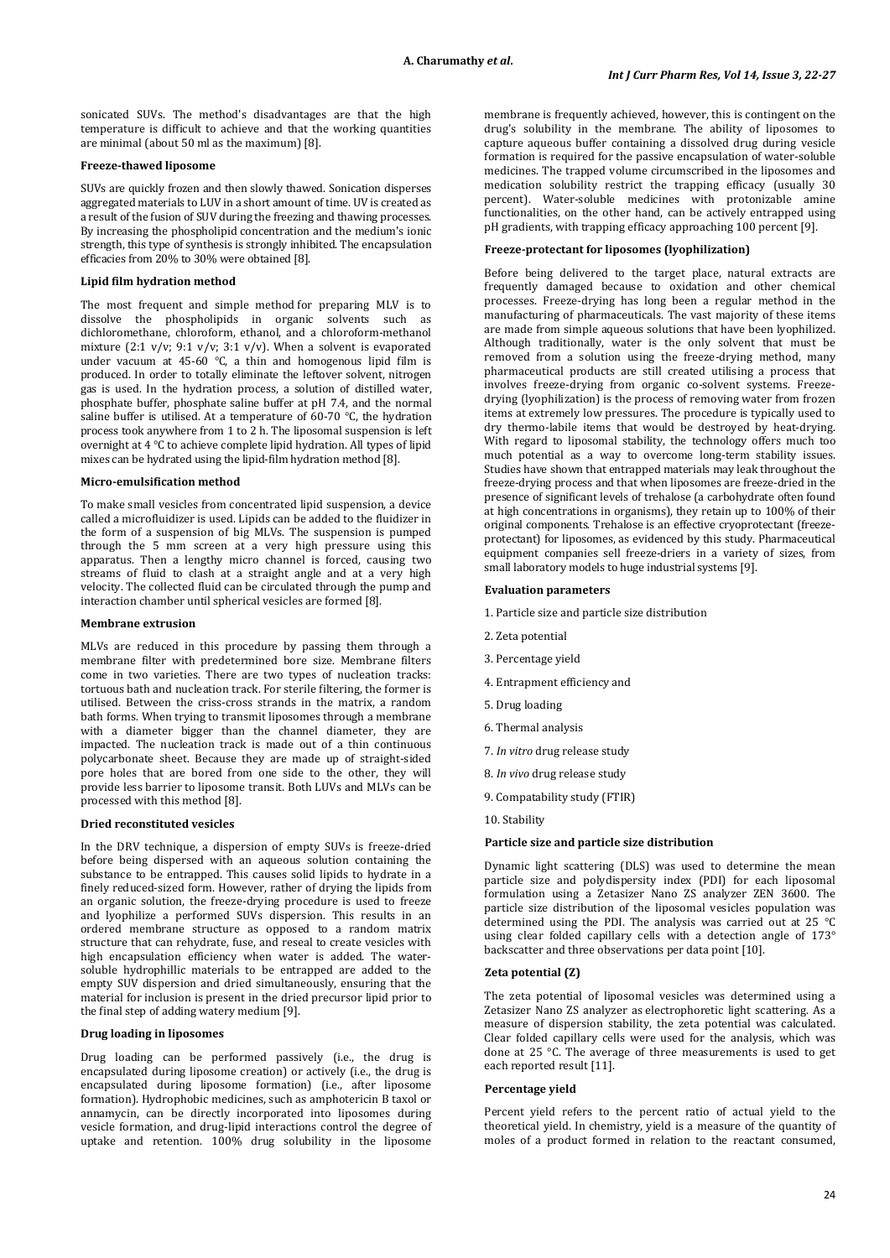sonicated SUVs. The method's disadvantages are that the high temperature is difficult to achieve and that the working quantities are minimal (about 50 ml as the maximum) [8].

### **Freeze-thawed liposome**

SUVs are quickly frozen and then slowly thawed. Sonication disperses aggregated materials to LUV in a short amount of time. UV is created as a result of the fusion of SUV during the freezing and thawing processes. By increasing the phospholipid concentration and the medium's ionic strength, this type of synthesis is strongly inhibited. The encapsulation efficacies from 20% to 30% were obtained [8].

#### **Lipid film hydration method**

The most frequent and simple method for preparing MLV is to dissolve the phospholipids in organic solvents such as dichloromethane, chloroform, ethanol, and a chloroform-methanol mixture (2:1 v/v; 9:1 v/v; 3:1 v/v). When a solvent is evaporated under vacuum at 45-60 ℃, a thin and homogenous lipid film is produced. In order to totally eliminate the leftover solvent, nitrogen gas is used. In the hydration process, a solution of distilled water, phosphate buffer, phosphate saline buffer at pH 7.4, and the normal saline buffer is utilised. At a temperature of 60-70 ℃, the hydration process took anywhere from 1 to 2 h. The liposomal suspension is left overnight at 4 ℃ to achieve complete lipid hydration. All types of lipid mixes can be hydrated using the lipid-film hydration method [8].

### **Micro-emulsification method**

To make small vesicles from concentrated lipid suspension, a device called a microfluidizer is used. Lipids can be added to the fluidizer in the form of a suspension of big MLVs. The suspension is pumped through the 5 mm screen at a very high pressure using this apparatus. Then a lengthy micro channel is forced, causing two streams of fluid to clash at a straight angle and at a very high velocity. The collected fluid can be circulated through the pump and interaction chamber until spherical vesicles are formed [8].

#### **Membrane extrusion**

MLVs are reduced in this procedure by passing them through a membrane filter with predetermined bore size. Membrane filters come in two varieties. There are two types of nucleation tracks: tortuous bath and nucleation track. For sterile filtering, the former is utilised. Between the criss-cross strands in the matrix, a random bath forms. When trying to transmit liposomes through a membrane with a diameter bigger than the channel diameter, they are impacted. The nucleation track is made out of a thin continuous polycarbonate sheet. Because they are made up of straight-sided pore holes that are bored from one side to the other, they will provide less barrier to liposome transit. Both LUVs and MLVs can be processed with this method [8].

## **Dried reconstituted vesicles**

In the DRV technique, a dispersion of empty SUVs is freeze-dried before being dispersed with an aqueous solution containing the substance to be entrapped. This causes solid lipids to hydrate in a finely reduced-sized form. However, rather of drying the lipids from an organic solution, the freeze-drying procedure is used to freeze and lyophilize a performed SUVs dispersion. This results in an ordered membrane structure as opposed to a random matrix structure that can rehydrate, fuse, and reseal to create vesicles with high encapsulation efficiency when water is added. The watersoluble hydrophillic materials to be entrapped are added to the empty SUV dispersion and dried simultaneously, ensuring that the material for inclusion is present in the dried precursor lipid prior to the final step of adding watery medium [9].

#### **Drug loading in liposomes**

Drug loading can be performed passively (i.e., the drug is encapsulated during liposome creation) or actively (i.e., the drug is encapsulated during liposome formation) (i.e., after liposome formation). Hydrophobic medicines, such as amphotericin B taxol or annamycin, can be directly incorporated into liposomes during vesicle formation, and drug-lipid interactions control the degree of uptake and retention. 100% drug solubility in the liposome

membrane is frequently achieved, however, this is contingent on the drug's solubility in the membrane. The ability of liposomes to capture aqueous buffer containing a dissolved drug during vesicle formation is required for the passive encapsulation of water-soluble medicines. The trapped volume circumscribed in the liposomes and medication solubility restrict the trapping efficacy (usually 30 percent). Water-soluble medicines with protonizable amine functionalities, on the other hand, can be actively entrapped using pH gradients, with trapping efficacy approaching 100 percent [9].

#### **Freeze-protectant for liposomes (lyophilization)**

Before being delivered to the target place, natural extracts are frequently damaged because to oxidation and other chemical processes. Freeze-drying has long been a regular method in the manufacturing of pharmaceuticals. The vast majority of these items are made from simple aqueous solutions that have been lyophilized. Although traditionally, water is the only solvent that must be removed from a solution using the freeze-drying method, many pharmaceutical products are still created utilising a process that involves freeze-drying from organic co-solvent systems. Freezedrying (lyophilization) is the process of removing water from frozen items at extremely low pressures. The procedure is typically used to dry thermo-labile items that would be destroyed by heat-drying. With regard to liposomal stability, the technology offers much too much potential as a way to overcome long-term stability issues. Studies have shown that entrapped materials may leak throughout the freeze-drying process and that when liposomes are freeze-dried in the presence of significant levels of trehalose (a carbohydrate often found at high concentrations in organisms), they retain up to 100% of their original components. Trehalose is an effective cryoprotectant (freezeprotectant) for liposomes, as evidenced by this study. Pharmaceutical equipment companies sell freeze-driers in a variety of sizes, from small laboratory models to huge industrial systems [9].

#### **Evaluation parameters**

- 1. Particle size and particle size distribution
- 2. Zeta potential
- 3. Percentage yield
- 4. Entrapment efficiency and
- 5. Drug loading
- 6. Thermal analysis
- 7. *In vitro* drug release study
- 8. *In vivo* drug release study
- 9. Compatability study (FTIR)
- 10. Stability

## **Particle size and particle size distribution**

Dynamic light scattering (DLS) was used to determine the mean particle size and polydispersity index (PDI) for each liposomal formulation using a Zetasizer Nano ZS analyzer ZEN 3600. The particle size distribution of the liposomal vesicles population was determined using the PDI. The analysis was carried out at 25 °C using clear folded capillary cells with a detection angle of 173° backscatter and three observations per data point [10].

### **Zeta potential (Ζ)**

The zeta potential of liposomal vesicles was determined using a Zetasizer Nano ZS analyzer as electrophoretic light scattering. As a measure of dispersion stability, the zeta potential was calculated. Clear folded capillary cells were used for the analysis, which was done at 25 °C. The average of three measurements is used to get each reported result [11].

#### **Percentage yield**

Percent yield refers to the percent ratio of actual yield to the theoretical yield. In chemistry, yield is a measure of the quantity of moles of a product formed in relation to the reactant consumed,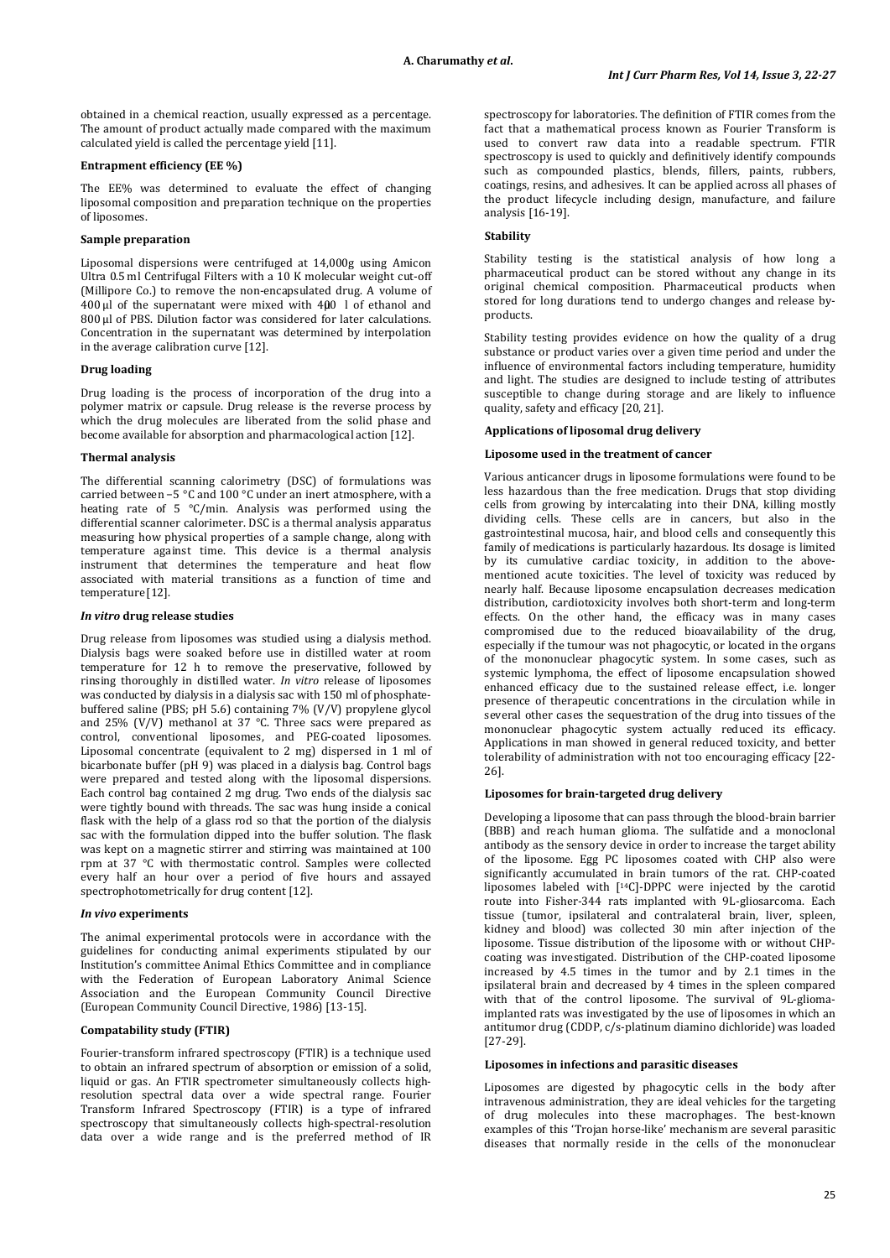obtained in a chemical reaction, usually expressed as a percentage. The amount of product actually made compared with the maximum calculated yield is called the percentage yield [11].

### **Entrapment efficiency (EE %)**

The EE% was determined to evaluate the effect of changing liposomal composition and preparation technique on the properties of liposomes.

## **Sample preparation**

Liposomal dispersions were centrifuged at 14,000g using Amicon Ultra 0.5 ml Centrifugal Filters with a 10 K molecular weight cut-off (Millipore Co.) to remove the non-encapsulated drug. A volume of  $400 \mu$ l of the supernatant were mixed with  $400 \mu$  l of ethanol and 800 μl of PBS. Dilution factor was considered for later calculations. Concentration in the supernatant was determined by interpolation in the average calibration curve [12].

### **Drug loading**

Drug loading is the process of incorporation of the drug into a polymer matrix or capsule. Drug release is the reverse process by which the drug molecules are liberated from the solid phase and become available for absorption and pharmacological action [12].

### **Thermal analysis**

The differential scanning calorimetry (DSC) of formulations was carried between −5 °C and 100 °C under an inert atmosphere, with a heating rate of 5 °C/min. Analysis was performed using the differential scanner calorimeter. DSC is a thermal analysis apparatus measuring how physical properties of a sample change, along with temperature against time. This device is a thermal analysis instrument that determines the temperature and heat flow associated with material transitions as a function of time and temperature [12].

#### *In vitro* **drug release studies**

Drug release from liposomes was studied using a dialysis method. Dialysis bags were soaked before use in distilled water at room temperature for 12 h to remove the preservative, followed by rinsing thoroughly in distilled water. *In vitro* release of liposomes was conducted by dialysis in a dialysis sac with 150 ml of phosphatebuffered saline (PBS; pH 5.6) containing 7% (V/V) propylene glycol and 25% (V/V) methanol at 37 °C. Three sacs were prepared as control, conventional liposomes, and PEG-coated liposomes. Liposomal concentrate (equivalent to 2 mg) dispersed in 1 ml of bicarbonate buffer (pH 9) was placed in a dialysis bag. Control bags were prepared and tested along with the liposomal dispersions. Each control bag contained 2 mg drug. Two ends of the dialysis sac were tightly bound with threads. The sac was hung inside a conical flask with the help of a glass rod so that the portion of the dialysis sac with the formulation dipped into the buffer solution. The flask was kept on a magnetic stirrer and stirring was maintained at 100 rpm at 37 °C with thermostatic control. Samples were collected every half an hour over a period of five hours and assayed spectrophotometrically for drug content [12].

## *In vivo* **experiments**

The animal experimental protocols were in accordance with the guidelines for conducting animal experiments stipulated by our Institution's committee Animal Ethics Committee and in compliance with the Federation of European Laboratory Animal Science Association and the European Community Council Directive (European Community Council Directive, 1986) [13-15].

### **Compatability study (FTIR)**

Fourier-transform infrared spectroscopy (FTIR) is a technique used to obtain an infrared spectrum of absorption or emission of a solid, liquid or gas. An FTIR spectrometer simultaneously collects highresolution spectral data over a wide spectral range. Fourier Transform Infrared Spectroscopy (FTIR) is a type of infrared spectroscopy that simultaneously collects high-spectral-resolution data over a wide range and is the preferred method of IR spectroscopy for laboratories. The definition of FTIR comes from the fact that a mathematical process known as Fourier Transform is used to convert raw data into a readable spectrum. FTIR spectroscopy is used to quickly and definitively identify compounds such as compounded plastics, blends, fillers, paints, rubbers, coatings, resins, and adhesives. It can be applied across all phases of the product lifecycle including design, manufacture, and failure analysis [16-19].

## **Stability**

Stability testing is the statistical analysis of how long a pharmaceutical product can be stored without any change in its original chemical composition. Pharmaceutical products when stored for long durations tend to undergo changes and release byproducts.

Stability testing provides evidence on how the quality of a drug substance or product varies over a given time period and under the influence of environmental factors including temperature, humidity and light. The studies are designed to include testing of attributes susceptible to change during storage and are likely to influence quality, safety and efficacy [20, 21].

### **Applications of liposomal drug delivery**

### **Liposome used in the treatment of cancer**

Various anticancer drugs in liposome formulations were found to be less hazardous than the free medication. Drugs that stop dividing cells from growing by intercalating into their DNA, killing mostly dividing cells. These cells are in cancers, but also in the gastrointestinal mucosa, hair, and blood cells and consequently this family of medications is particularly hazardous. Its dosage is limited by its cumulative cardiac toxicity, in addition to the abovementioned acute toxicities. The level of toxicity was reduced by nearly half. Because liposome encapsulation decreases medication distribution, cardiotoxicity involves both short-term and long-term effects. On the other hand, the efficacy was in many cases compromised due to the reduced bioavailability of the drug, especially if the tumour was not phagocytic, or located in the organs of the mononuclear phagocytic system. In some cases, such as systemic lymphoma, the effect of liposome encapsulation showed enhanced efficacy due to the sustained release effect, i.e. longer presence of therapeutic concentrations in the circulation while in several other cases the sequestration of the drug into tissues of the mononuclear phagocytic system actually reduced its efficacy. Applications in man showed in general reduced toxicity, and better tolerability of administration with not too encouraging efficacy [22- 26].

### **Liposomes for brain-targeted drug delivery**

Developing a liposome that can pass through the blood-brain barrier (BBB) and reach human glioma. The sulfatide and a monoclonal antibody as the sensory device in order to increase the target ability of the liposome. Egg PC liposomes coated with CHP also were significantly accumulated in brain tumors of the rat. CHP-coated liposomes labeled with [14C]-DPPC were injected by the carotid route into Fisher-344 rats implanted with 9L-gliosarcoma. Each tissue (tumor, ipsilateral and contralateral brain, liver, spleen, kidney and blood) was collected 30 min after injection of the liposome. Tissue distribution of the liposome with or without CHPcoating was investigated. Distribution of the CHP-coated liposome increased by 4.5 times in the tumor and by 2.1 times in the ipsilateral brain and decreased by 4 times in the spleen compared with that of the control liposome. The survival of 9L-gliomaimplanted rats was investigated by the use of liposomes in which an antitumor drug (CDDP, c/s-platinum diamino dichloride) was loaded [27-29].

#### **Liposomes in infections and parasitic diseases**

Liposomes are digested by phagocytic cells in the body after intravenous administration, they are ideal vehicles for the targeting of drug molecules into these macrophages. The best-known examples of this 'Trojan horse-like' mechanism are several parasitic diseases that normally reside in the cells of the mononuclear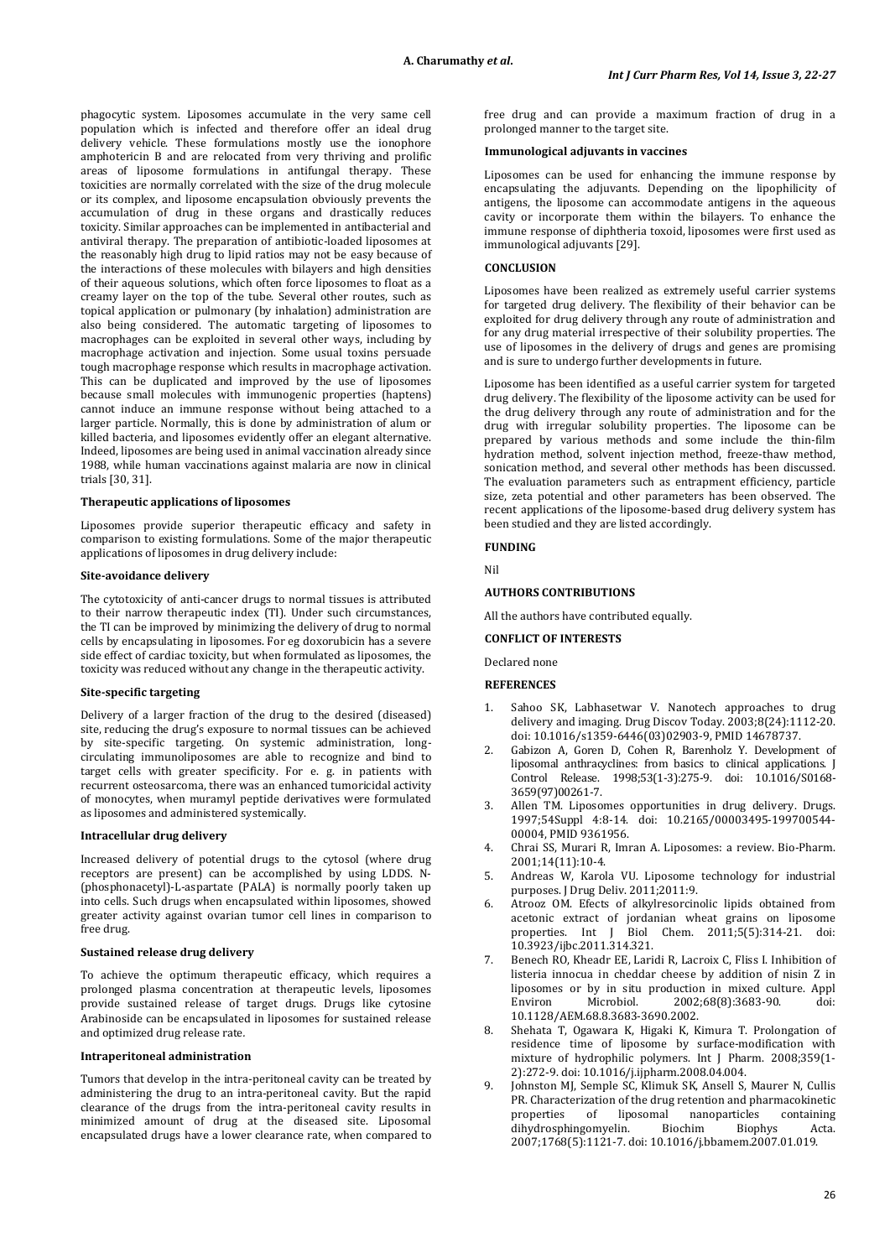phagocytic system. Liposomes accumulate in the very same cell population which is infected and therefore offer an ideal drug delivery vehicle. These formulations mostly use the ionophore amphotericin B and are relocated from very thriving and prolific areas of liposome formulations in antifungal therapy. These toxicities are normally correlated with the size of the drug molecule or its complex, and liposome encapsulation obviously prevents the accumulation of drug in these organs and drastically reduces toxicity. Similar approaches can be implemented in antibacterial and antiviral therapy. The preparation of antibiotic-loaded liposomes at the reasonably high drug to lipid ratios may not be easy because of the interactions of these molecules with bilayers and high densities of their aqueous solutions, which often force liposomes to float as a creamy layer on the top of the tube. Several other routes, such as topical application or pulmonary (by inhalation) administration are also being considered. The automatic targeting of liposomes to macrophages can be exploited in several other ways, including by macrophage activation and injection. Some usual toxins persuade tough macrophage response which results in macrophage activation. This can be duplicated and improved by the use of liposomes because small molecules with immunogenic properties (haptens) cannot induce an immune response without being attached to a larger particle. Normally, this is done by administration of alum or killed bacteria, and liposomes evidently offer an elegant alternative. Indeed, liposomes are being used in animal vaccination already since 1988, while human vaccinations against malaria are now in clinical trials [30, 31].

#### **Therapeutic applications of liposomes**

Liposomes provide superior therapeutic efficacy and safety in comparison to existing formulations. Some of the major therapeutic applications of liposomes in [drug](http://www.imedpub.com/drug-delivery-and-therapeutics/) delivery include:

### **Site-avoidance delivery**

The cytotoxicity of anti-cancer drugs to normal tissues is attributed to their narrow therapeutic index (TI). Under such circumstances, the TI can be improved by minimizing the [delivery](http://www.imedpub.com/advanced-drug-delivery/) of drug to normal cells by encapsulating in liposomes. For eg doxorubicin has a severe side effect of cardiac toxicity, but when formulated as liposomes, the toxicity was reduced without any change in the therapeutic activity.

## **Site-specific targeting**

Delivery of a larger fraction of the drug to the desired (diseased) site, reducing the drug's exposure to normal tissues can be achieved by site-specific targeting. On systemic administration, longcirculating immunoliposomes are able to recognize and bind to target cells with greater specificity. For e. g. in patients with recurrent osteosarcoma, there was an enhanced tumoricidal activity of monocytes, when muramyl peptide derivatives were formulated as liposomes and administered systemically.

### **Intracellular drug delivery**

Increased delivery of potential drugs to the cytosol (where drug receptors are present) can be accomplished by using LDDS. N- (phosphonacetyl)-L-aspartate (PALA) is normally poorly taken up into cells. Such drugs when encapsulated within liposomes, showed greater activity against ovarian tumor cell lines in comparison to free drug.

### **Sustained release drug delivery**

To achieve the optimum therapeutic efficacy, which requires a prolonged plasma concentration at therapeutic levels, liposomes provide sustained release of target drugs. Drugs like cytosine Arabinoside can be encapsulated in liposomes for sustained release and optimized drug release rate*.*

#### **Intraperitoneal administration**

Tumors that develop in the intra-peritoneal cavity can be treated by administering the drug to an intra-peritoneal cavity. But the rapid clearance of the drugs from the intra-peritoneal cavity results in minimized amount of drug at the diseased site. Liposomal encapsulated drugs have a lower clearance rate, when compared to

free drug and can provide a maximum fraction of drug in a prolonged manner to the target site.

### **Immunological adjuvants in vaccines**

Liposomes can be used for enhancing the immune response by encapsulating the adjuvants. Depending on the lipophilicity of antigens, the liposome can accommodate antigens in the aqueous cavity or incorporate them within the bilayers. To enhance the immune response of diphtheria toxoid, liposomes were first used as immunological adjuvants [29].

## **CONCLUSION**

Liposomes have been realized as extremely useful carrier systems for targeted drug delivery. The flexibility of their behavior can be exploited for drug delivery through any route of administration and for any drug material irrespective of their solubility properties. The use of liposomes in the delivery of drugs and genes are promising and is sure to undergo further developments in future.

Liposome has been identified as a useful carrier system for targeted drug delivery. The flexibility of the liposome activity can be used for the drug delivery through any route of administration and for the drug with irregular solubility properties. The liposome can be prepared by various methods and some include the thin-film hydration method, solvent injection method, freeze-thaw method, sonication method, and several other methods has been discussed. The evaluation parameters such as entrapment efficiency, particle size, zeta potential and other parameters has been observed. The recent applications of the liposome-based drug delivery system has been studied and they are listed accordingly.

#### **FUNDING**

Nil

### **AUTHORS CONTRIBUTIONS**

All the authors have contributed equally.

## **CONFLICT OF INTERESTS**

Declared none

## **REFERENCES**

- Sahoo SK, Labhasetwar V. Nanotech approaches to drug delivery and imaging. Drug Discov Today. 2003;8(24):1112-20. doi[: 10.1016/s1359-6446\(03\)02903-9,](https://doi.org/10.1016/s1359-6446(03)02903-9) PMI[D 14678737.](https://www.ncbi.nlm.nih.gov/pubmed/14678737)
- 2. Gabizon A, Goren D, Cohen R, Barenholz Y. Development of liposomal anthracyclines: from basics to clinical applications. J Control Release. 1998;53(1-3):275-9. doi: [10.1016/S0168-](https://doi.org/10.1016/s0168-3659(97)00261-7) [3659\(97\)00261-7.](https://doi.org/10.1016/s0168-3659(97)00261-7)
- 3. Allen TM. Liposomes opportunities in drug delivery. Drugs. 1997;54Suppl 4:8-14. doi: [10.2165/00003495-199700544-](https://doi.org/10.2165/00003495-199700544-00004) [00004,](https://doi.org/10.2165/00003495-199700544-00004) PMI[D 9361956.](https://www.ncbi.nlm.nih.gov/pubmed/9361956)
- 4. Chrai SS, Murari R, Imran A. Liposomes: a review. Bio-Pharm. 2001;14(11):10-4.
- 5. Andreas W, Karola VU. Liposome technology for industrial purposes. J Drug Deliv. 2011;2011:9.
- 6. Atrooz OM. Efects of alkylresorcinolic lipids obtained from acetonic extract of jordanian wheat grains on liposome properties. Int J Biol Chem. 2011;5(5):314-21. doi: [10.3923/ijbc.2011.314.321.](https://doi.org/10.3923/ijbc.2011.314.321)
- 7. Benech RO, Kheadr EE, Laridi R, Lacroix C, Fliss I. Inhibition of listeria innocua in cheddar cheese by addition of nisin Z in liposomes or by in situ production in mixed culture. Appl<br>Environ Microbiol. 2002:68(8):3683-90. doi: 2002;68(8):3683-90. [10.1128/AEM.68.8.3683-3690.2002.](https://doi.org/10.1128/aem.68.8.3683-3690.2002)
- 8. Shehata T, Ogawara K, Higaki K, Kimura T. Prolongation of residence time of liposome by surface-modification with mixture of hydrophilic polymers. Int J Pharm. 2008;359(1- 2):272-9. doi[: 10.1016/j.ijpharm.2008.04.004.](https://doi.org/10.1016/j.ijpharm.2008.04.004)
- Johnston MJ, Semple SC, Klimuk SK, Ansell S, Maurer N, Cullis PR. Characterization of the drug retention and pharmacokinetic<br>properties of liposomal nanoparticles containing properties of liposomal nanoparticles containing<br>dihydrosphingomyelin. Biochim Biophys Acta. dihydrosphingomyelin. Biochim Biophys Acta. 2007;1768(5):1121-7. doi[: 10.1016/j.bbamem.2007.01.019.](https://doi.org/10.1016/j.bbamem.2007.01.019)